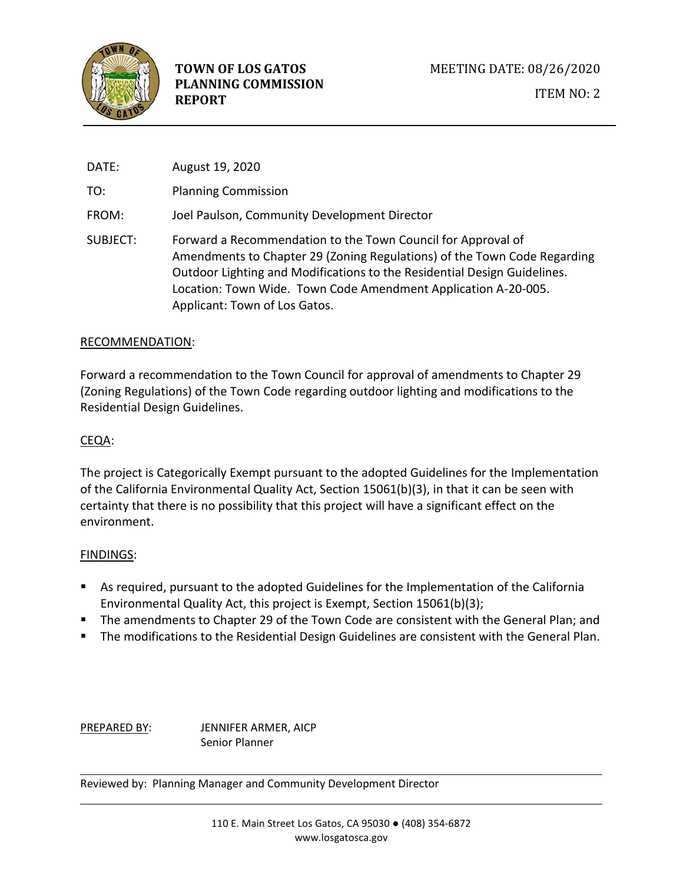

DATE: August 19, 2020 TO: Planning Commission FROM: Joel Paulson, Community Development Director SUBJECT: Forward a Recommendation to the Town Council for Approval of Amendments to Chapter 29 (Zoning Regulations) of the Town Code Regarding Outdoor Lighting and Modifications to the Residential Design Guidelines. Location: Town Wide. Town Code Amendment Application A-20-005. Applicant: Town of Los Gatos.

#### RECOMMENDATION:

Forward a recommendation to the Town Council for approval of amendments to Chapter 29 (Zoning Regulations) of the Town Code regarding outdoor lighting and modifications to the Residential Design Guidelines.

#### CEQA:

The project is Categorically Exempt pursuant to the adopted Guidelines for the Implementation of the California Environmental Quality Act, Section 15061(b)(3), in that it can be seen with certainty that there is no possibility that this project will have a significant effect on the environment.

#### FINDINGS:

- As required, pursuant to the adopted Guidelines for the Implementation of the California Environmental Quality Act, this project is Exempt, Section 15061(b)(3);
- The amendments to Chapter 29 of the Town Code are consistent with the General Plan; and
- **The modifications to the Residential Design Guidelines are consistent with the General Plan.**

PREPARED BY: JENNIFER ARMER, AICP Senior Planner

Reviewed by: Planning Manager and Community Development Director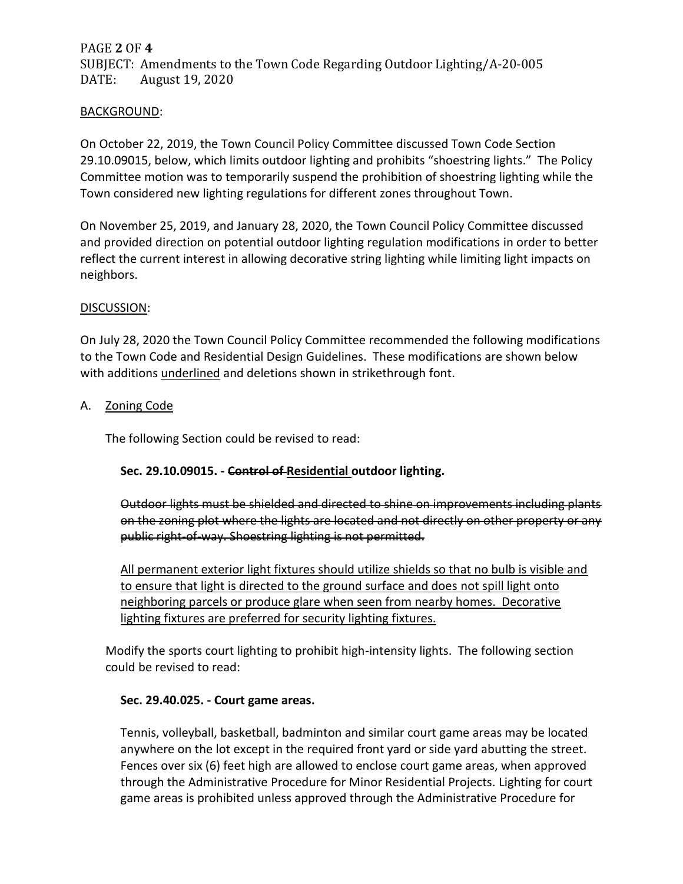# PAGE **2** OF **4** SUBJECT: Amendments to the Town Code Regarding Outdoor Lighting/A-20-005 DATE: August 19, 2020

### BACKGROUND:

On October 22, 2019, the Town Council Policy Committee discussed Town Code Section 29.10.09015, below, which limits outdoor lighting and prohibits "shoestring lights." The Policy Committee motion was to temporarily suspend the prohibition of shoestring lighting while the Town considered new lighting regulations for different zones throughout Town.

On November 25, 2019, and January 28, 2020, the Town Council Policy Committee discussed and provided direction on potential outdoor lighting regulation modifications in order to better reflect the current interest in allowing decorative string lighting while limiting light impacts on neighbors.

### DISCUSSION:

On July 28, 2020 the Town Council Policy Committee recommended the following modifications to the Town Code and Residential Design Guidelines. These modifications are shown below with additions *underlined* and deletions shown in strikethrough font.

## A. Zoning Code

The following Section could be revised to read:

## **Sec. 29.10.09015. - Control of Residential outdoor lighting.**

Outdoor lights must be shielded and directed to shine on improvements including plants on the zoning plot where the lights are located and not directly on other property or any public right-of-way. Shoestring lighting is not permitted.

All permanent exterior light fixtures should utilize shields so that no bulb is visible and to ensure that light is directed to the ground surface and does not spill light onto neighboring parcels or produce glare when seen from nearby homes. Decorative lighting fixtures are preferred for security lighting fixtures.

Modify the sports court lighting to prohibit high-intensity lights. The following section could be revised to read:

#### **Sec. 29.40.025. - Court game areas.**

Tennis, volleyball, basketball, badminton and similar court game areas may be located anywhere on the lot except in the required front yard or side yard abutting the street. Fences over six (6) feet high are allowed to enclose court game areas, when approved through the Administrative Procedure for Minor Residential Projects. Lighting for court game areas is prohibited unless approved through the Administrative Procedure for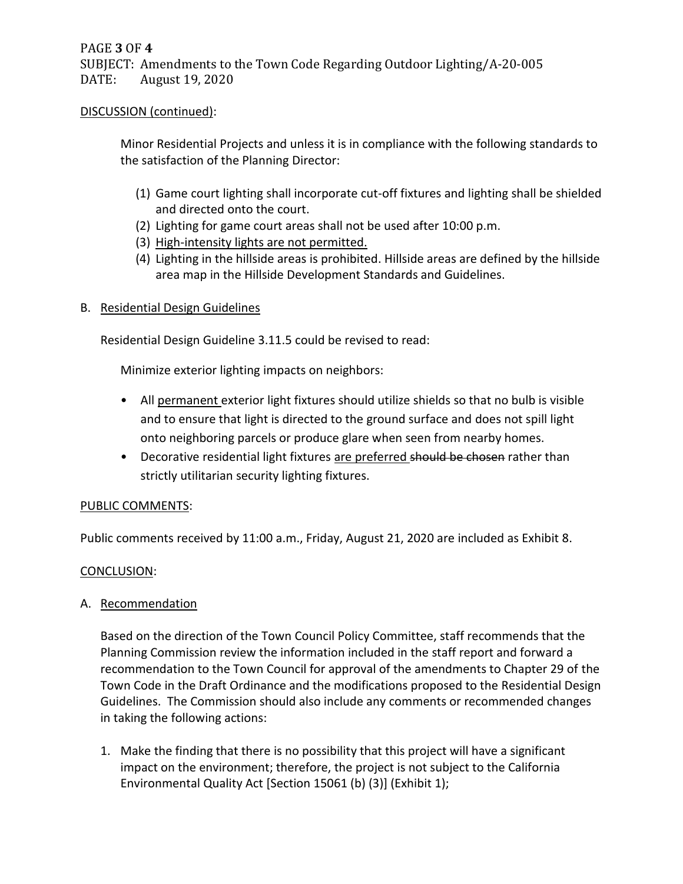### DISCUSSION (continued):

Minor Residential Projects and unless it is in compliance with the following standards to the satisfaction of the Planning Director:

- (1) Game court lighting shall incorporate cut-off fixtures and lighting shall be shielded and directed onto the court.
- (2) Lighting for game court areas shall not be used after 10:00 p.m.
- (3) High-intensity lights are not permitted.
- (4) Lighting in the hillside areas is prohibited. Hillside areas are defined by the hillside area map in the Hillside Development Standards and Guidelines.

## B. Residential Design Guidelines

Residential Design Guideline 3.11.5 could be revised to read:

Minimize exterior lighting impacts on neighbors:

- All permanent exterior light fixtures should utilize shields so that no bulb is visible and to ensure that light is directed to the ground surface and does not spill light onto neighboring parcels or produce glare when seen from nearby homes.
- Decorative residential light fixtures are preferred should be chosen rather than strictly utilitarian security lighting fixtures.

## PUBLIC COMMENTS:

Public comments received by 11:00 a.m., Friday, August 21, 2020 are included as Exhibit 8.

## CONCLUSION:

A. Recommendation

Based on the direction of the Town Council Policy Committee, staff recommends that the Planning Commission review the information included in the staff report and forward a recommendation to the Town Council for approval of the amendments to Chapter 29 of the Town Code in the Draft Ordinance and the modifications proposed to the Residential Design Guidelines. The Commission should also include any comments or recommended changes in taking the following actions:

1. Make the finding that there is no possibility that this project will have a significant impact on the environment; therefore, the project is not subject to the California Environmental Quality Act [Section 15061 (b) (3)] (Exhibit 1);